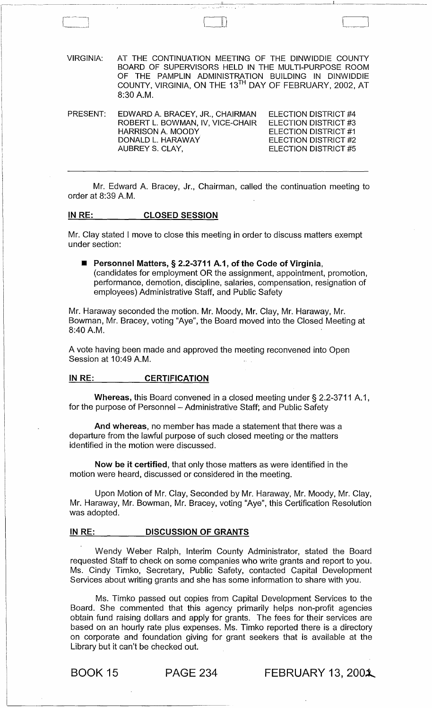VIRGINIA: AT THE CONTINUATION MEETING OF THE DINWIDDIE COUNTY BOARD OF SUPERVISORS HELD IN THE MULTI-PURPOSE ROOM OF THE PAMPLIN ADMINISTRATION BUILDING IN DINWIDDIE COUNTY, VIRGINIA, ON THE 13TH DAY OF FEBRUARY, 2002, AT 8:30 AM.

PRESENT: EDWARD A. BRACEY, JR., CHAIRMAN ROBERT L. BOWMAN, IV, VICE-CHAIR HARRISON A. MOODY DONALD L. HARAWAY AUBREY S. CLAY, ELECTION DISTRICT #4 ELECTION DISTRICT #3 ELECTION DISTRICT #1 ELECTION DISTRICT #2 ELECTION DISTRICT #5

Mr. Edward A. Bracey, Jr., Chairman, called the continuation meeting to order at 8:39 A.M.

### IN RE: CLOSED SESSION

Mr. Clay stated I move to close this meeting in order to discuss matters exempt under section:

■ Personnel Matters, § 2.2-3711 A.1, of the Code of Virginia, (candidates for employment OR the assignment, appointment, promotion, performance, demotion, discipline, salaries, compensation, resignation of employees) Administrative Staff, and Public Safety

Mr. Haraway seconded the motion. Mr. Moody, Mr. Clay, Mr. Haraway, Mr. Bowman, Mr. Bracey, voting "Aye", the Board moved into the Closed Meeting at 8:40 AM.

A vote having been made and approved the meeting reconvened into Open Session at 10:49 A.M.

### IN RE: CERTIFICATION

Whereas, this Board convened in a closed meeting under  $\S 2.2-3711 A.1$ , for the purpose of Personnel - Administrative Staff; and Public Safety

And whereas, no member has made a statement that there was a departure from the lawful purpose of such closed meeting or the matters identified in the motion were discussed.

Now be it certified, that only those matters as were identified in the motion were heard, discussed or considered in the meeting.

Upon Motion of Mr. Clay, Seconded by Mr. Haraway, Mr. Moody, Mr. Clay, Mr. Haraway, Mr. Bowman, Mr. Bracey, voting "Aye", this Certification Resolution was adopted.

### IN RE: DISCUSSION OF GRANTS

Wendy Weber Ralph, Interim County Administrator, stated the Board requested Staff to check on some companies who write grants and report to you. Ms. Cindy Timko, Secretary, Public Safety, contacted Capital Development Services about writing grants and she has some information to share with you.

Ms. Timko passed out copies from Capital Development Services to the Board. She commented that this agency primarily helps non-profit agencies obtain fund raising dollars and apply for grants. The fees for their services are based on an hourly rate plus expenses. Ms. Timko reported there is a directory on corporate and foundation giving for grant seekers that is available at the Library but it can't be checked out.

**BOOK 15 PAGE 234 FEBRUARY 13, 2001**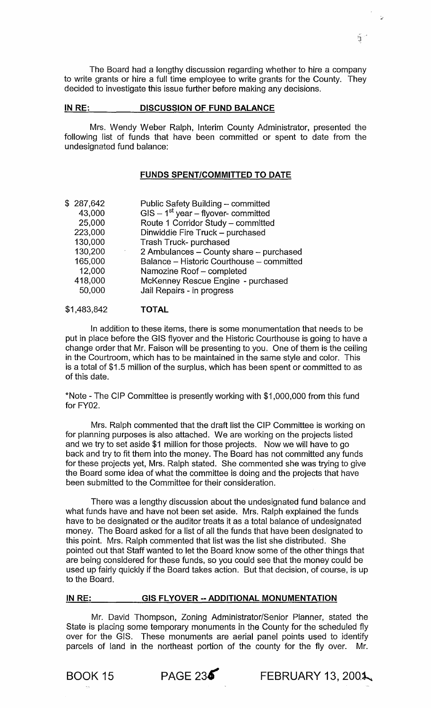The Board had a lengthy discussion regarding whether to hire a company to write grants or hire a full time employee to write grants for the County. They decided to investigate this issue further before making any decisions.

# IN RE: DISCUSSION OF FUND BALANCE

Mrs. Wendy Weber Ralph, Interim County Administrator, presented the following list of funds that have been committed or spent to date from the undesignated fund balance:

# FUNDS SPENT/COMMITTED TO DATE

| \$287,642 | Public Safety Building - committed        |
|-----------|-------------------------------------------|
| 43,000    | $GIS - 1st$ year – flyover- committed     |
| 25,000    | Route 1 Corridor Study - committed        |
| 223,000   | Dinwiddie Fire Truck - purchased          |
| 130,000   | Trash Truck- purchased                    |
| 130,200   | 2 Ambulances - County share - purchased   |
| 165,000   | Balance - Historic Courthouse - committed |
| 12,000    | Namozine Roof - completed                 |
| 418,000   | McKenney Rescue Engine - purchased        |
| 50,000    | Jail Repairs - in progress                |
|           |                                           |

#### \$1,483,842 TOTAL

In addition to these items, there is some monumentation that needs to be put in place before the GIS flyover and the Historic Courthouse is going to have a change order that Mr. Faison will be presenting to you. One of them is the ceiling in the Courtroom, which has to be maintained in the same style and color. This is a total of \$1.5 million of the surplus, which has been spent or committed to as of this date.

\*Note - The CIP Committee is presently working with \$1,000,000 from this fund for FY02.

Mrs. Ralph commented that the draft list the CIP Committee is working on for planning purposes is also attached. We are working on the projects listed and we try to set aside \$1 million for those projects. Now we will have to go back and try to fit them into the money. The Board has not committed any funds for these projects yet, Mrs. Ralph stated. She commented she was trying to give the Board some idea of what the committee is doing and the projects that have been submitted to the Committee for their consideration.

There was a lengthy discussion about the undesignated fund balance and what funds have and have not been set aside. Mrs. Ralph explained the funds have to be designated or the auditor treats it as a total balance of undesignated money. The Board asked for a list of all the funds that have been designated to this point. Mrs. Ralph commented that list was the list she distributed. She pointed out that Staff wanted to let the Board know some of the other things that are being considered for these funds, so you could see that the money could be used up fairly quickly if the Board takes action. But that decision, of course, is up to the Board.

### IN RE: GIS FLYOVER -- ADDITIONAL MONUMENTATION

Mr. David Thompson, Zoning Administrator/Senior Planner, stated the State is placing some temporary monuments in the County for the scheduled fly over for the GIS. These monuments are aerial panel points used to identify parcels of land in the northeast portion of the county for the fly over. Mr.



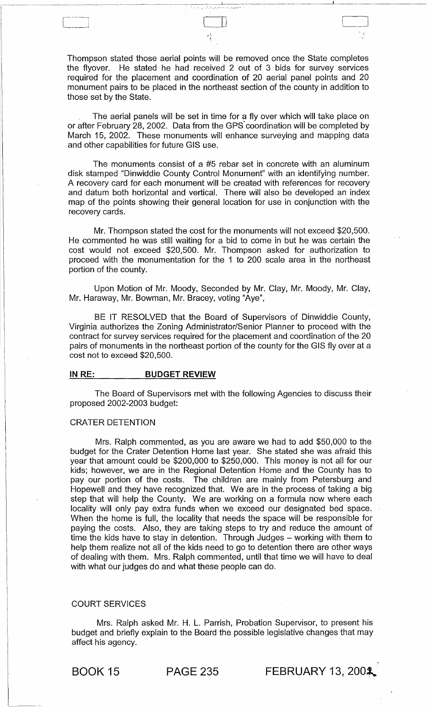Thompson stated those aerial points will be removed once the State completes the flyover. He stated he had received 2 out of 3 bids for survey services required for the placement and coordination of 20 aerial panel points and 20 monument pairs to be placed in the northeast section of the county in addition to those set by the State.

The aerial panels will be set in time for a fly over which will take place on or after February 28, 2002. Data from the GPS' coordination will be completed by March 15, 2002. These monuments will enhance surveying and mapping data and other capabilities for future GIS use.

The monuments consist of a #5 rebar set in concrete with an aluminum disk stamped "Dinwiddie County Control Monument" with an identifying number. A recovery card for each monument will be created with references for recovery and datum both horizontal and vertical. There will also be developed an index map of the points showing their general location for use in conjunction with the recovery cards.

Mr. Thompson stated the cost for the monuments will not exceed \$20,500. He commented he was still waiting for a bid to come in but he was certain the cost would not exceed \$20,500. Mr. Thompson asked for authorization to proceed with the monumentation for the 1 to 200 scale area in the northeast portion of the county.

Upon Motion of Mr. Moody, Seconded by Mr. Clay, Mr. Moody, Mr. Clay, Mr. Haraway, Mr. Bowman, Mr. Bracey, voting "Aye",

BE IT RESOLVED that the Board of Supervisors of Dinwiddie County, Virginia authorizes the Zoning Administrator/Senior Planner to proceed with the contract for survey services required for the placement and coordination of the 20 pairs of monuments in the northeast portion of the county for the GIS fly over at a cost not to exceed \$20,500.

### IN RE: BUDGET REVIEW

The Board of Supervisors met with the following Agencies to discuss their proposed 2002-2003 budget:

### CRATER DETENTION

 $\overline{\phantom{a}}$ 

Mrs. Ralph commented, as you are aware we had to add \$50,000 to the budget for the Crater Detention Home last year. She stated she was afraid this year that amount could be \$200,000 to \$250,000. This money is not all for our kids; however, we are in the Regional Detention Home and the County has to pay our portion of the costs. The children are mainly from Petersburg and Hopewell and they have recognized that. We are in the process of taking a big step that will help the County. We are working on a formula now where each locality will only pay extra funds when we exceed our designated bed space. When the home is full, the locality that needs the space will be responsible for paying the costs. Also, they are taking steps to try and reduce the amount of time the kids have to stay in detention. Through Judges - working with them to help them realize not all of the kids need to go to detention there are other ways of dealing with them. Mrs. Ralph commented, until that time we will have to deal with what our judges do and what these people can do.

# COURT SERVICES

Mrs. Ralph asked Mr. H. L. Parrish, Probation Supervisor, to present his budget and briefly explain to the Board the possible legislative changes that may affect his agency.

**BOOK 15** PAGE 235 **FEBRUARY 13, 2002**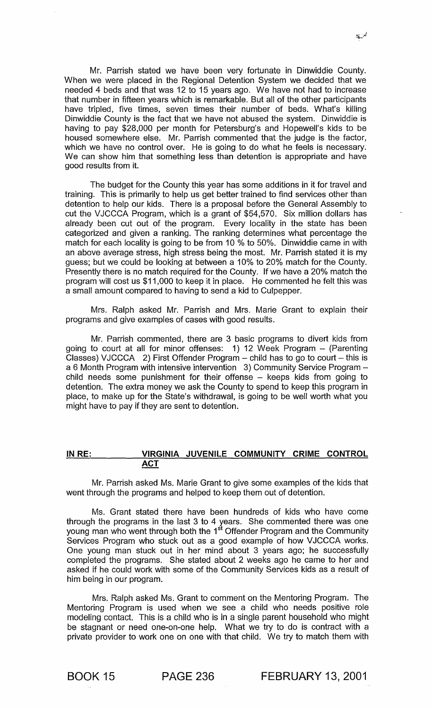Mr. Parrish stated we have been very fortunate in Dinwiddie County. When we were placed in the Regional Detention System we decided that we needed 4 beds and that was 12 to 15 years ago. We have not had to increase that number in fifteen years which is remarkable. But all of the other participants have tripled, five times, seven times their number of beds. What's killing Dinwiddie County is the fact that we have not abused the system. Dinwiddie is having to pay \$28,000 per month for Petersburg's and Hopewell's kids to be housed somewhere else. Mr. Parrish commented that the judge is the factor, which we have no control over. He is going to do what he feels is necessary. We can show him that something less than detention is appropriate and have good results from it.

The budget for the County this year has some additions in it for travel and training. This is primarily to help us get better trained to find services other than detention to help our kids. There is a proposal before the General Assembly to cut the VJCCCA Program, which is a grant of \$54,570. Six million dollars has already been cut out of the program. Every locality in the state has been categorized and given a ranking. The ranking determines what percentage the match for each locality is going to be from 10 % to 50%. Dinwiddie came in with an above average stress, high stress being the most. Mr. Parrish stated it is my guess; but we could be looking at between a 10% to 20% match for the County. Presently there is no match required for the County. If we have a 20% match the program will cost us \$11,000 to keep it in place. He commented he felt this was a small amount compared to having to send a kid to Culpepper.

Mrs. Ralph asked Mr. Parrish and Mrs. Marie Grant to explain their programs and give examples of cases with good results.

Mr. Parrish commented, there are 3 basic programs to divert kids from going to court at all for minor offenses: 1) 12 Week Program - (Parenting Classes) VJCCCA 2) First Offender Program  $-$  child has to go to court  $-$  this is a 6 Month Program with intensive intervention 3) Community Service Program child needs some punishment for their offense - keeps kids from going to detention. The extra money we ask the County to spend to keep this program in place, to make up for the State's withdrawal, is going to be well worth what you might have to pay if they are sent to detention.

# IN RE: VIRGINIA JUVENILE COMMUNITY CRIME CONTROL ACT

Mr. Parrish asked Ms. Marie Grant to give some examples of the kids that went through the programs and helped to keep them out of detention.

Ms. Grant stated there have been hundreds of kids who have come through the programs in the last 3 to 4 years. She commented there was one young man who went through both the 1<sup>st</sup> Offender Program and the Community Services Program who stuck out as a good example of how VJCCCA works. One young man stuck out in her mind about 3 years ago; he successfully completed the programs. She stated about 2 weeks ago he came to her and asked if he could work with some of the Community Services kids as a result of him being in our program.

Mrs. Ralph asked Ms. Grant to comment on the Mentoring Program. The Mentoring Program is used when we see a child who needs positive role modeling contact. This is a child who is in a single parent household who might be stagnant or need one-on-one help. What we try to do is contract with a private provider to work one on one with that child. We try to match them with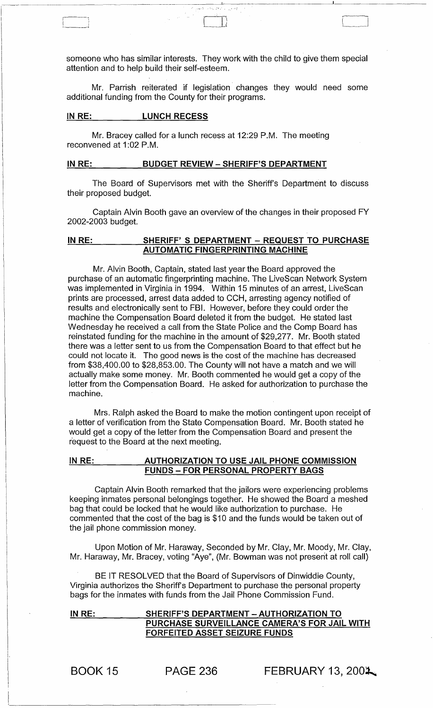someone who has similar interests. They work with the child to give them special attention and to help build their self-esteem.

. The contract of the contract of  $\mathbb{R}^n$  ,  $\mathbb{R}^n$  ,  $\mathbb{R}^n$  ,  $\mathbb{R}^n$  ,  $\mathbb{R}^n$  ,  $\mathbb{R}^n$ 

" .... -.:

Mr. Parrish reiterated if legislation changes they would need some additional funding from the County for their programs.

# IN RE: LUNCH RECESS

I-

 $\overline{\phantom{0}}$  $\mathbf{I} = \{I_1, \ldots, I_r\}$ 

> Mr. Bracey called for a lunch recess at 12:29 P.M. The meeting reconvened at 1:02 P.M.

### IN RE: BUDGET REVIEW - SHERIFF'S DEPARTMENT

The Board of Supervisors met with the Sheriff's Department to discuss their proposed budget.

Captain Alvin Booth gave an overview of the changes in their proposed FY 2002-2003 budget.

# IN RE: SHERIFF'S DEPARTMENT - REQUEST TO PURCHASE AUTOMATIC FINGERPRINTING MACHINE

Mr. Alvin Booth, Captain, stated last year the Board approved the purchase of an automatic fingerprinting machine. The LiveScan Network System was implemented in Virginia in 1994. Within 15 minutes of an arrest, LiveScan prints are processed, arrest data added to CCH, arresting agency notified of results and electronically sent to FBI. However, before they could order the machine the Compensation Board deleted it from the budget. He stated last Wednesday he received a call from the State Police and the Comp Board has reinstated funding for the machine in the amount of \$29,277. Mr. Booth stated there was a letter sent to us from the Compensation Board to that effect but he could not locate it. The good news is the cost of the machine has decreased from \$38,400.00 to \$28,853.00. The County will not have a match and we will actually make some money. Mr. Booth commented he would get a copy of the letter from the Compensation Board. He asked for authorization to purchase the machine.

Mrs. Ralph asked the Board to make the motion contingent upon receipt of a letter of verification from the State Compensation Board. Mr. Booth stated he would get a copy of the letter from the Compensation Board and present the request to the Board at the next meeting.

# IN RE: \_\_\_\_ \_\_\_\_ AUTHORIZATION TO USE JAIL PHONE COMMISSION FUNDS - FOR PERSONAL PROPERTY BAGS

Captain Alvin Booth remarked that the jailors were experiencing problems keeping inmates personal belongings together. He showed the Board a meshed bag that could be locked that he would like authorization to purchase. He commented that the cost of the bag is \$10 and the funds would be taken out of the jail phone commission money.

Upon Motion of Mr. Haraway, Seconded by Mr. Clay, Mr. Moody, Mr. Clay, Mr. Haraway, Mr. Bracey, voting "Aye", (Mr. Bowman was not present at roll call)

BE IT RESOLVED that the Board of Supervisors of Dinwiddie County, Virginia authorizes the Sheriffs Department to purchase the personal property bags for the inmates with funds from the Jail Phone Commission Fund.

### IN RE: SHERIFF'S DEPARTMENT - AUTHORIZATION TO PURCHASE SURVEILLANCE CAMERA'S FOR JAIL WITH FORFEITED ASSET SEIZURE FUNDS

BOOK 15

 $PAGE 236$  FEBRUARY 13, 2001.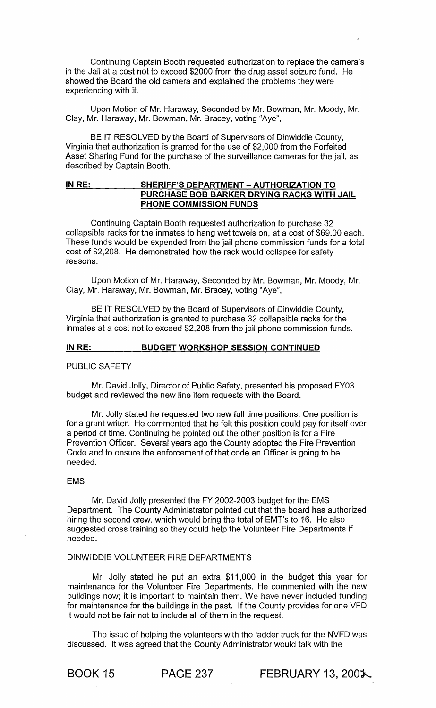Continuing Captain Booth requested authorization to replace the camera's in the Jail at a cost not to exceed \$2000 from the drug asset seizure fund. He showed the Board the old camera and explained the problems they were experiencing with it.

Upon Motion of Mr. Haraway, Seconded by Mr. Bowman, Mr. Moody, Mr. Clay, Mr. Haraway, Mr. Bowman, Mr. Bracey, voting "Aye",

BE IT RESOLVED by the Board of Supervisors of Dinwiddie County, Virginia that authorization is granted for the use of \$2,000 from the Forfeited Asset Sharing Fund for the purchase of the surveillance cameras for the jail, as described by Captain Booth.

# IN RE: SHERIFF'S DEPARTMENT - AUTHORIZATION TO PURCHASE BOB BARKER DRYING RACKS WITH JAIL PHONE COMMISSION FUNDS

Continuing Captain Booth requested authorization to purchase 32 collapsible racks for the inmates to hang wet towels on, at a cost of \$69.00 each. These funds would be expended from the jail phone commission funds for a total cost of \$2,208. He demonstrated how the rack would collapse for safety reasons.

Upon Motion of Mr. Haraway, Seconded by Mr. Bowman, Mr. Moody, Mr. Clay, Mr. Haraway, Mr. Bowman, Mr. Bracey, voting "Aye",

BE IT RESOLVED by the Board of Supervisors of Dinwiddie County, Virginia that authorization is granted to purchase 32 collapsible racks for the inmates at a cost not to exceed \$2,208 from the jail phone commission funds.

### IN RE: BUDGET WORKSHOP SESSION CONTINUED

### PUBLIC SAFETY

Mr. David Jolly, Director of Public Safety, presented his proposed FY03 budget and reviewed the new line item requests with the Board.

Mr. Jolly stated he requested two new full time positions. One position is for a grant writer. He commented that he felt this position could pay for itself over a period of time. Continuing he pointed out the other position is for a Fire Prevention Officer. Several years ago the County adopted the Fire Prevention Code and to ensure the enforcement of that code an Officer is going to be needed.

### EMS

Mr. David Jolly presented the FY 2002-2003 budget for the EMS Department. The County Administrator pointed out that the board has authorized hiring the second crew, which would bring the total of EMT's to 16. He also suggested cross training so they could help the Volunteer Fire Departments if needed.

# DINWIDDIE VOLUNTEER FIRE DEPARTMENTS

Mr. Jolly stated he put an extra \$11,000 in the budget this year for maintenance for the Volunteer Fire Departments. He commented with the new buildings now; it is important to maintain them. We have never included funding for maintenance for the buildings in the past. If the County provides for one VFD it would not be fair not to include all of them in the request.

The issue of helping the volunteers with the ladder truck for the NVFD was discussed. It was agreed that the County Administrator would talk with the

**BOOK 15 PAGE 237 FEBRUARY 13, 2001.**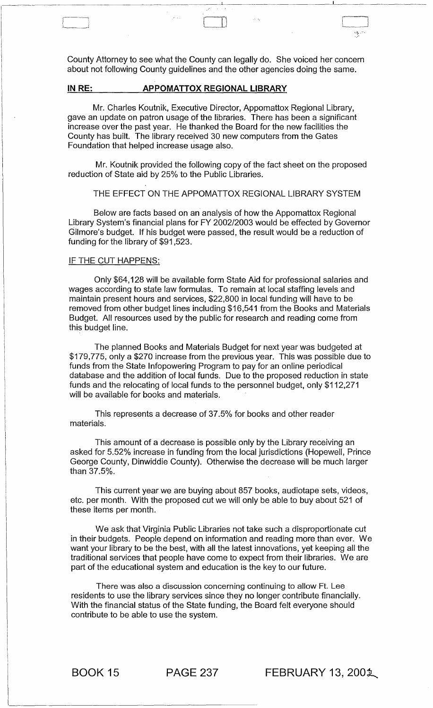County Attorney to see what the County can legally do. She voiced her concern about not following County guidelines and the other agencies doing the same.

 $\Box$ 

# IN RE: **APPOMATTOX REGIONAL LIBRARY**

Mr. Charles Koutnik, Executive Director, Appomattox Regional Library, gave an update on patron usage of the libraries. There has been a significant increase over the past year. He thanked the Board for the new facilities the County has built. The library received 30 new computers from the Gates Foundation that helped increase usage also.

Mr. Koutnik provided the following copy of the fact sheet on the proposed reduction of State aid by 25% to the Public Libraries.

### THE EFFECT ON THE APPOMATTOX REGIONAL LIBRARY SYSTEM

Below are facts based on an analysis of how the Appomattox Regional Library System's financial plans for FY 2002/2003 would be effected by Governor Gilmore's budget. If his budget were passed, the result would be a reduction of funding for the library of \$91 ,523.

### IF THE CUT HAPPENS:

Only \$64,128 will be available form State Aid for professional salaries and wages according to state law formulas. To remain at local staffing levels and maintain present hours and services, \$22,800 in local funding will have to be removed from other budget lines including \$16,541 from the Books and Materials Budget. All resources used by the public for research and reading come from this budget line.

The planned Books and Materials Budget for next year was budgeted at \$179,775, only a \$270 increase from the previous year. This was possible due to funds from the State Infopowering Program to pay for an online periodical database and the addition of local funds. Due to the proposed reduction in state funds and the relocating of local funds to the personnel budget, only \$112,271 will be available for books and materials.

This represents a decrease of 37.5% for books and other reader materials.

This amount of a decrease is possible only by the Library receiving an asked for 5.52% increase in funding from the local jurisdictions (Hopewell, Prince George County, Dinwiddie County). Otherwise the decrease will be much larger than 37.5%.

This current year we are buying about 857 books, audiotape sets, videos, etc. per month. With the proposed cut we will only be able to buy about 521 of these items per month.

We ask that Virginia Public Libraries not take such a disproportionate cut in their budgets. People depend on information and reading more than ever. We want your library to be the best, with all the latest innovations, yet keeping all the traditional services that people have come to expect from their libraries. We are part of the educational system and education is the key to our future.

There was also a discussion concerning continuing to allow Ft. Lee residents to use the library services since they no longer contribute financially. With the financial status of the State funding, the Board felt everyone should contribute to be able to use the system.

**BOOK 15 PAGE 237 FEBRUARY 13, 2002**